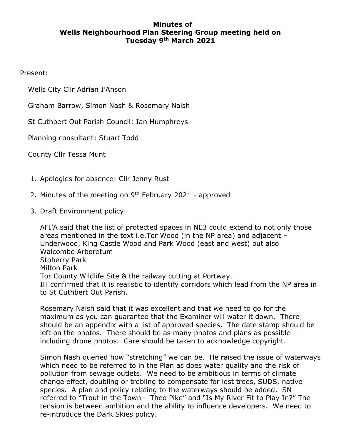## **Minutes of Wells Neighbourhood Plan Steering Group meeting held on Tuesday 9th March 2021**

Present:

Wells City Cllr Adrian I'Anson

Graham Barrow, Simon Nash & Rosemary Naish

St Cuthbert Out Parish Council: Ian Humphreys

Planning consultant: Stuart Todd

County Cllr Tessa Munt

- 1. Apologies for absence: Cllr Jenny Rust
- 2. Minutes of the meeting on 9<sup>th</sup> February 2021 approved
- 3. Draft Environment policy

AFI'A said that the list of protected spaces in NE3 could extend to not only those areas mentioned in the text i.e.Tor Wood (in the NP area) and adjacent – Underwood, King Castle Wood and Park Wood (east and west) but also Walcombe Arboretum Stoberry Park Milton Park Tor County Wildlife Site & the railway cutting at Portway. IH confirmed that it is realistic to identify corridors which lead from the NP area in to St Cuthbert Out Parish.

Rosemary Naish said that it was excellent and that we need to go for the maximum as you can guarantee that the Examiner will water it down. There should be an appendix with a list of approved species. The date stamp should be left on the photos. There should be as many photos and plans as possible including drone photos. Care should be taken to acknowledge copyright.

Simon Nash queried how "stretching" we can be. He raised the issue of waterways which need to be referred to in the Plan as does water quality and the risk of pollution from sewage outlets. We need to be ambitious in terms of climate change effect, doubling or trebling to compensate for lost trees, SUDS, native species. A plan and policy relating to the waterways should be added. SN referred to "Trout in the Town – Theo Pike" and "Is My River Fit to Play In?" The tension is between ambition and the ability to influence developers. We need to re-introduce the Dark Skies policy.